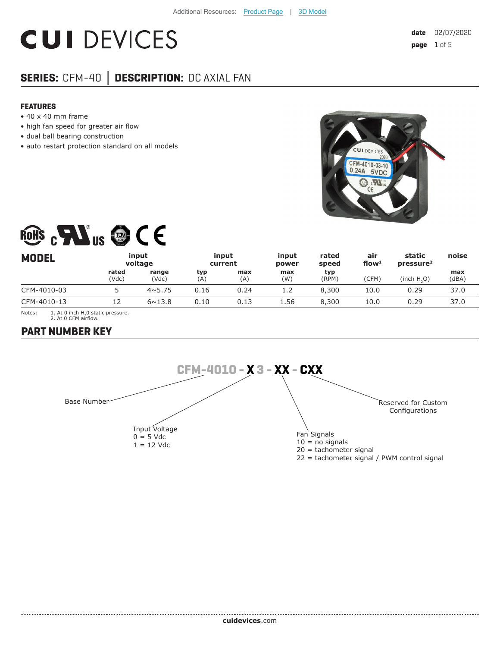# **CUI DEVICES**

# **SERIES:** CFM-40 **│ DESCRIPTION:** DC AXIAL FAN

#### **FEATURES**

- 40 x 40 mm frame
- high fan speed for greater air flow
- dual ball bearing construction
- auto restart protection standard on all models



# ROHS CHAIS @ CE

| <b>MODEL</b> |                | input<br>voltage |            | input<br>current | input<br>power | rated<br>speed | air<br>flow $1$ | static<br>pressure <sup>2</sup> | noise        |
|--------------|----------------|------------------|------------|------------------|----------------|----------------|-----------------|---------------------------------|--------------|
|              | rated<br>(Vdc) | range<br>(Vdc)   | typ<br>(A) | max<br>(A)       | max<br>(W)     | typ<br>(RPM)   | (CFM)           | (inch H <sub>2</sub> O)         | max<br>(dBA) |
| CFM-4010-03  |                | $4 \times 5.75$  | 0.16       | 0.24             | 1.2            | 8,300          | 10.0            | 0.29                            | 37.0         |
| CFM-4010-13  |                | $6 \sim 13.8$    | 0.10       | 0.13             | 1.56           | 8,300          | 10.0            | 0.29                            | 37.0         |

Notes:  $1.$  At 0 inch H<sub>2</sub>0 static pressure. 2. At 0 CFM airflow.

## **PART NUMBER KEY**

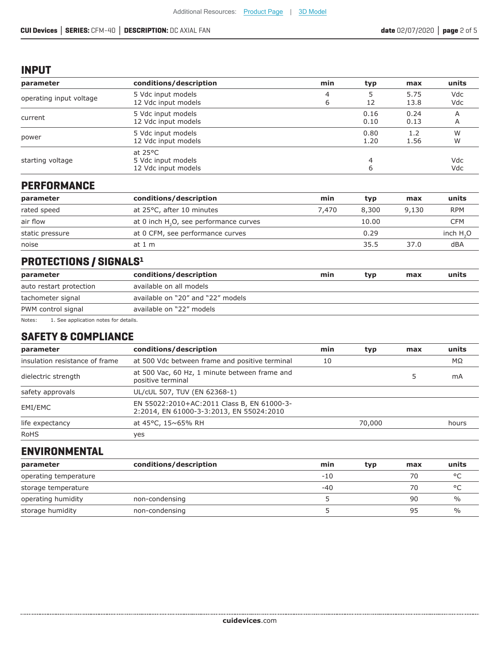#### **INPUT**

| parameter               | conditions/description                                         | min    | typ          | max          | units      |
|-------------------------|----------------------------------------------------------------|--------|--------------|--------------|------------|
| operating input voltage | 5 Vdc input models<br>12 Vdc input models                      | 4<br>6 | 12           | 5.75<br>13.8 | Vdc<br>Vdc |
| current                 | 5 Vdc input models<br>12 Vdc input models                      |        | 0.16<br>0.10 | 0.24<br>0.13 | A<br>A     |
| power                   | 5 Vdc input models<br>12 Vdc input models                      |        | 0.80<br>1.20 | 1.2<br>1.56  | W<br>W     |
| starting voltage        | at $25^{\circ}$ C<br>5 Vdc input models<br>12 Vdc input models |        |              |              | Vdc<br>Vdc |

#### **PERFORMANCE**

| parameter       | conditions/description                             | min   | typ   | max   | units      |
|-----------------|----------------------------------------------------|-------|-------|-------|------------|
| rated speed     | at 25°C, after 10 minutes                          | 7.470 | 8,300 | 9,130 | <b>RPM</b> |
| air flow        | at 0 inch H <sub>2</sub> O, see performance curves |       | 10.00 |       | <b>CFM</b> |
| static pressure | at 0 CFM, see performance curves                   |       | 0.29  |       | inch $H2O$ |
| noise           | at 1 m                                             |       | 35.5  | 37.0  | dBA        |

# **PROTECTIONS / SIGNALS1**

| parameter                                       | conditions/description            | min | typ | max | units |
|-------------------------------------------------|-----------------------------------|-----|-----|-----|-------|
| auto restart protection                         | available on all models           |     |     |     |       |
| tachometer signal                               | available on "20" and "22" models |     |     |     |       |
| PWM control signal                              | available on "22" models          |     |     |     |       |
| Notes:<br>1. See application notes for details. |                                   |     |     |     |       |

#### **SAFETY & COMPLIANCE**

| parameter                      | conditions/description                                                                 | min | typ    | max | units     |
|--------------------------------|----------------------------------------------------------------------------------------|-----|--------|-----|-----------|
| insulation resistance of frame | at 500 Vdc between frame and positive terminal                                         | 10  |        |     | $M\Omega$ |
| dielectric strength            | at 500 Vac, 60 Hz, 1 minute between frame and<br>positive terminal                     |     |        |     | mA        |
| safety approvals               | UL/cUL 507, TUV (EN 62368-1)                                                           |     |        |     |           |
| EMI/EMC                        | EN 55022:2010+AC:2011 Class B, EN 61000-3-<br>2:2014, EN 61000-3-3:2013, EN 55024:2010 |     |        |     |           |
| life expectancy                | at 45°C, 15~65% RH                                                                     |     | 70,000 |     | hours     |
| <b>RoHS</b>                    | yes                                                                                    |     |        |     |           |

### **ENVIRONMENTAL**

| parameter             | conditions/description | min   | typ | max | units         |
|-----------------------|------------------------|-------|-----|-----|---------------|
| operating temperature |                        | -10   |     | 70  | $\circ$       |
| storage temperature   |                        | $-40$ |     | 70  | $\circ$       |
| operating humidity    | non-condensing         |       |     | 90  | $\frac{0}{0}$ |
| storage humidity      | non-condensing         |       |     | 95  | $\%$          |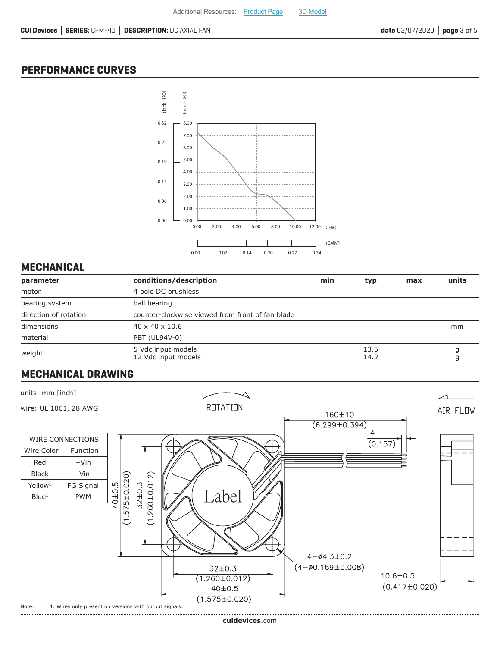#### **PERFORMANCE CURVES**



#### **MECHANICAL**

| parameter             | conditions/description                           | min | typ.         | max | units |
|-----------------------|--------------------------------------------------|-----|--------------|-----|-------|
| motor                 | 4 pole DC brushless                              |     |              |     |       |
| bearing system        | ball bearing                                     |     |              |     |       |
| direction of rotation | counter-clockwise viewed from front of fan blade |     |              |     |       |
| dimensions            | $40 \times 40 \times 10.6$                       |     |              |     | mm    |
| material              | PBT (UL94V-0)                                    |     |              |     |       |
| weight                | 5 Vdc input models<br>12 Vdc input models        |     | 13.5<br>14.2 |     |       |

### **MECHANICAL DRAWING**

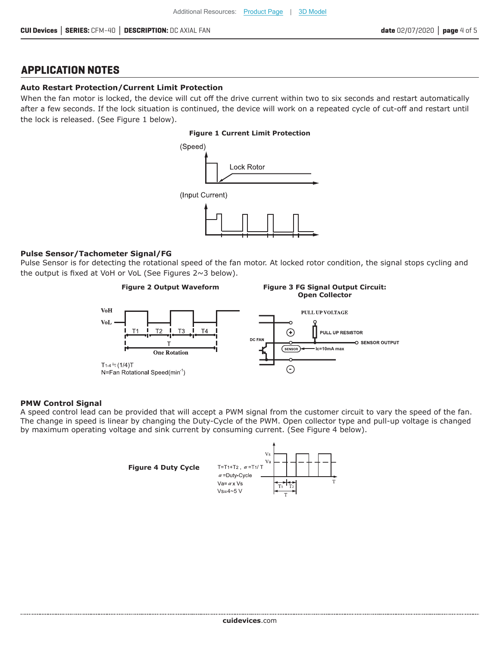#### **APPLICATION NOTES**

#### **Auto Restart Protection/Current Limit Protection**

When the fan motor is locked, the device will cut off the drive current within two to six seconds and restart automatically after a few seconds. If the lock situation is continued, the device will work on a repeated cycle of cut-off and restart until the lock is released. (See Figure 1 below).

#### **Figure 1 Current Limit Protection**



#### **Pulse Sensor/Tachometer Signal/FG**

Pulse Sensor is for detecting the rotational speed of the fan motor. At locked rotor condition, the signal stops cycling and the output is fixed at VoH or VoL (See Figures 2~3 below).



#### **PMW Control Signal**

A speed control lead can be provided that will accept a PWM signal from the customer circuit to vary the speed of the fan. The change in speed is linear by changing the Duty-Cycle of the PWM. Open collector type and pull-up voltage is changed by maximum operating voltage and sink current by consuming current. (See Figure 4 below).